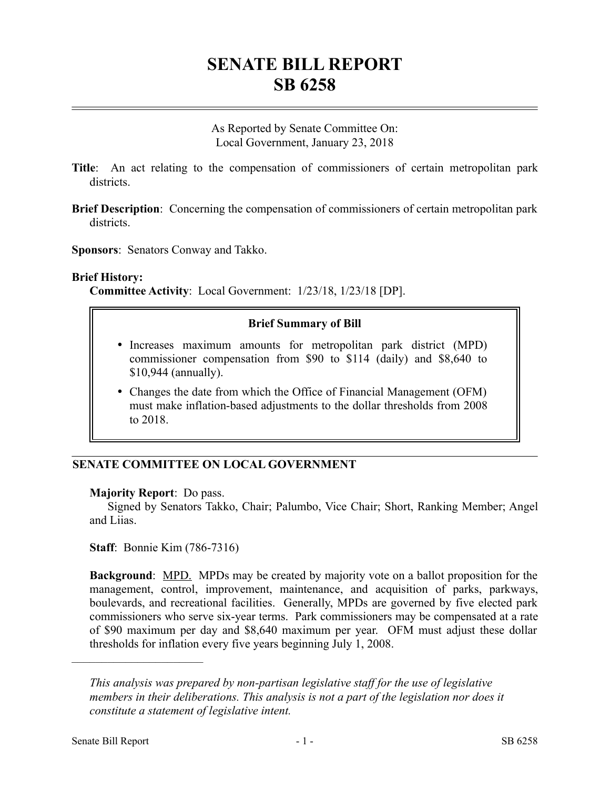# **SENATE BILL REPORT SB 6258**

As Reported by Senate Committee On: Local Government, January 23, 2018

- **Title**: An act relating to the compensation of commissioners of certain metropolitan park districts.
- **Brief Description**: Concerning the compensation of commissioners of certain metropolitan park districts.
- **Sponsors**: Senators Conway and Takko.

### **Brief History:**

**Committee Activity**: Local Government: 1/23/18, 1/23/18 [DP].

## **Brief Summary of Bill**

- Increases maximum amounts for metropolitan park district (MPD) commissioner compensation from \$90 to \$114 (daily) and \$8,640 to \$10,944 (annually).
- Changes the date from which the Office of Financial Management (OFM) must make inflation-based adjustments to the dollar thresholds from 2008 to 2018.

# **SENATE COMMITTEE ON LOCAL GOVERNMENT**

### **Majority Report**: Do pass.

Signed by Senators Takko, Chair; Palumbo, Vice Chair; Short, Ranking Member; Angel and Liias.

**Staff**: Bonnie Kim (786-7316)

**Background:** MPD. MPDs may be created by majority vote on a ballot proposition for the management, control, improvement, maintenance, and acquisition of parks, parkways, boulevards, and recreational facilities. Generally, MPDs are governed by five elected park commissioners who serve six-year terms. Park commissioners may be compensated at a rate of \$90 maximum per day and \$8,640 maximum per year. OFM must adjust these dollar thresholds for inflation every five years beginning July 1, 2008.

––––––––––––––––––––––

*This analysis was prepared by non-partisan legislative staff for the use of legislative members in their deliberations. This analysis is not a part of the legislation nor does it constitute a statement of legislative intent.*